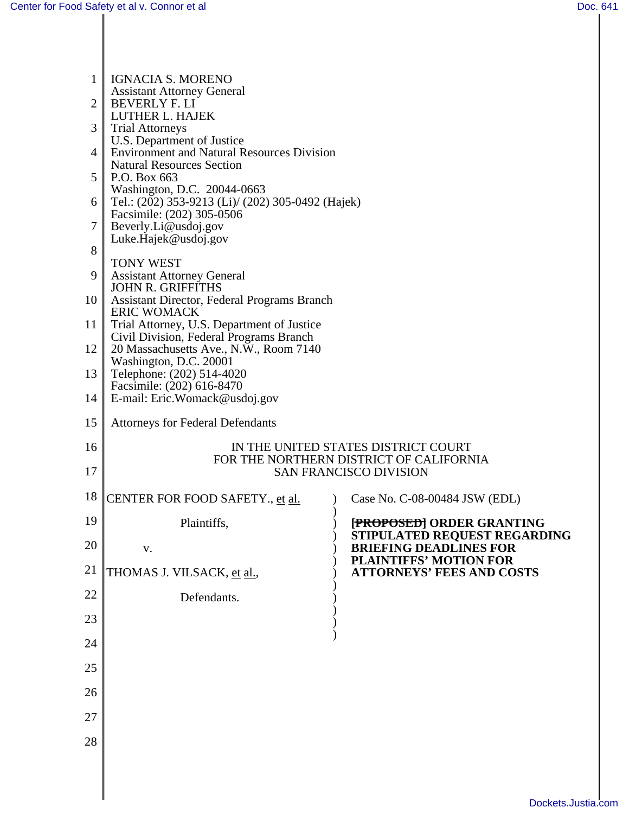| $\mathbf 1$ | <b>IGNACIA S. MORENO</b>                                                              |  |                                                                   |  |  |
|-------------|---------------------------------------------------------------------------------------|--|-------------------------------------------------------------------|--|--|
|             | <b>Assistant Attorney General</b>                                                     |  |                                                                   |  |  |
| 2           | <b>BEVERLY F. LI</b><br>LUTHER L. HAJEK                                               |  |                                                                   |  |  |
| 3           | <b>Trial Attorneys</b>                                                                |  |                                                                   |  |  |
| 4           | U.S. Department of Justice<br><b>Environment and Natural Resources Division</b>       |  |                                                                   |  |  |
| 5           | <b>Natural Resources Section</b><br>P.O. Box 663                                      |  |                                                                   |  |  |
|             | Washington, D.C. 20044-0663                                                           |  |                                                                   |  |  |
| 6           | Tel.: $(202)$ 353-9213 (Li)/ (202) 305-0492 (Hajek)<br>Facsimile: (202) 305-0506      |  |                                                                   |  |  |
| 7           | Beverly.Li@usdoj.gov<br>Luke.Hajek@usdoj.gov                                          |  |                                                                   |  |  |
| 8           |                                                                                       |  |                                                                   |  |  |
| 9           | <b>TONY WEST</b><br><b>Assistant Attorney General</b>                                 |  |                                                                   |  |  |
|             | <b>JOHN R. GRIFFITHS</b>                                                              |  |                                                                   |  |  |
| 10          | Assistant Director, Federal Programs Branch<br><b>ERIC WOMACK</b>                     |  |                                                                   |  |  |
| 11          | Trial Attorney, U.S. Department of Justice<br>Civil Division, Federal Programs Branch |  |                                                                   |  |  |
| 12          | 20 Massachusetts Ave., N.W., Room 7140                                                |  |                                                                   |  |  |
| 13          | Washington, D.C. 20001<br>Telephone: (202) 514-4020                                   |  |                                                                   |  |  |
| 14          | Facsimile: (202) 616-8470                                                             |  |                                                                   |  |  |
|             | E-mail: Eric.Womack@usdoj.gov                                                         |  |                                                                   |  |  |
| 15          | <b>Attorneys for Federal Defendants</b>                                               |  |                                                                   |  |  |
| 16          | IN THE UNITED STATES DISTRICT COURT                                                   |  |                                                                   |  |  |
| 17          | FOR THE NORTHERN DISTRICT OF CALIFORNIA<br><b>SAN FRANCISCO DIVISION</b>              |  |                                                                   |  |  |
| 18          | CENTER FOR FOOD SAFETY., et al.                                                       |  | Case No. C-08-00484 JSW (EDL)                                     |  |  |
| 19          | Plaintiffs,                                                                           |  | [PROPOSED] ORDER GRANTING                                         |  |  |
| 20          | V.                                                                                    |  | STIPULATED REQUEST REGARDING<br><b>BRIEFING DEADLINES FOR</b>     |  |  |
| 21          | THOMAS J. VILSACK, et al.,                                                            |  | <b>PLAINTIFFS' MOTION FOR</b><br><b>ATTORNEYS' FEES AND COSTS</b> |  |  |
| 22          |                                                                                       |  |                                                                   |  |  |
|             | Defendants.                                                                           |  |                                                                   |  |  |
| 23          |                                                                                       |  |                                                                   |  |  |
| 24          |                                                                                       |  |                                                                   |  |  |
| 25          |                                                                                       |  |                                                                   |  |  |
| 26          |                                                                                       |  |                                                                   |  |  |
| 27          |                                                                                       |  |                                                                   |  |  |
| 28          |                                                                                       |  |                                                                   |  |  |
|             |                                                                                       |  |                                                                   |  |  |